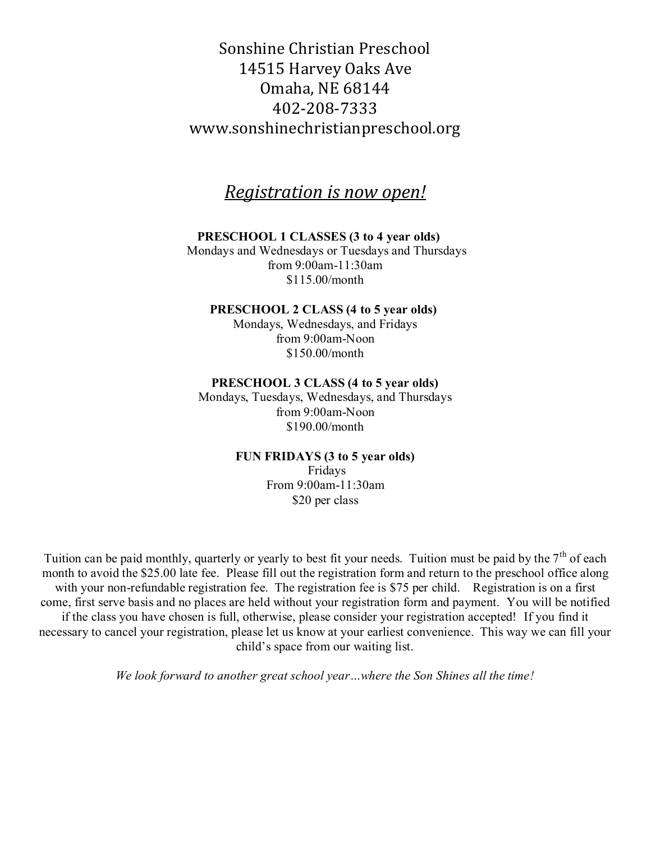# Sonshine Christian Preschool 14515 Harvey Oaks Ave Omaha, NE 68144 402-208-7333 www.sonshinechristianpreschool.org

# *Registration is now open!*

## **PRESCHOOL 1 CLASSES (3 to 4 year olds)**

Mondays and Wednesdays or Tuesdays and Thursdays from 9:00am-11:30am \$115.00/month

#### **PRESCHOOL 2 CLASS (4 to 5 year olds)**

Mondays, Wednesdays, and Fridays from 9:00am-Noon \$150.00/month

#### **PRESCHOOL 3 CLASS (4 to 5 year olds)**

Mondays, Tuesdays, Wednesdays, and Thursdays from 9:00am-Noon \$190.00/month

## **FUN FRIDAYS (3 to 5 year olds)**

Fridays From 9:00am-11:30am \$20 per class

Tuition can be paid monthly, quarterly or yearly to best fit your needs. Tuition must be paid by the  $7<sup>th</sup>$  of each month to avoid the \$25.00 late fee.Please fill out the registration form and return to the preschool office along with your non-refundable registration fee. The registration fee is \$75 per child. Registration is on a first come, first serve basis and no places are held without your registration form and payment. You will be notified if the class you have chosen is full, otherwise, please consider your registration accepted! If you find it necessary to cancel your registration, please let us know at your earliest convenience. This way we can fill your child's space from our waiting list.

*We look forward to another great school year…where the Son Shines all the time!*